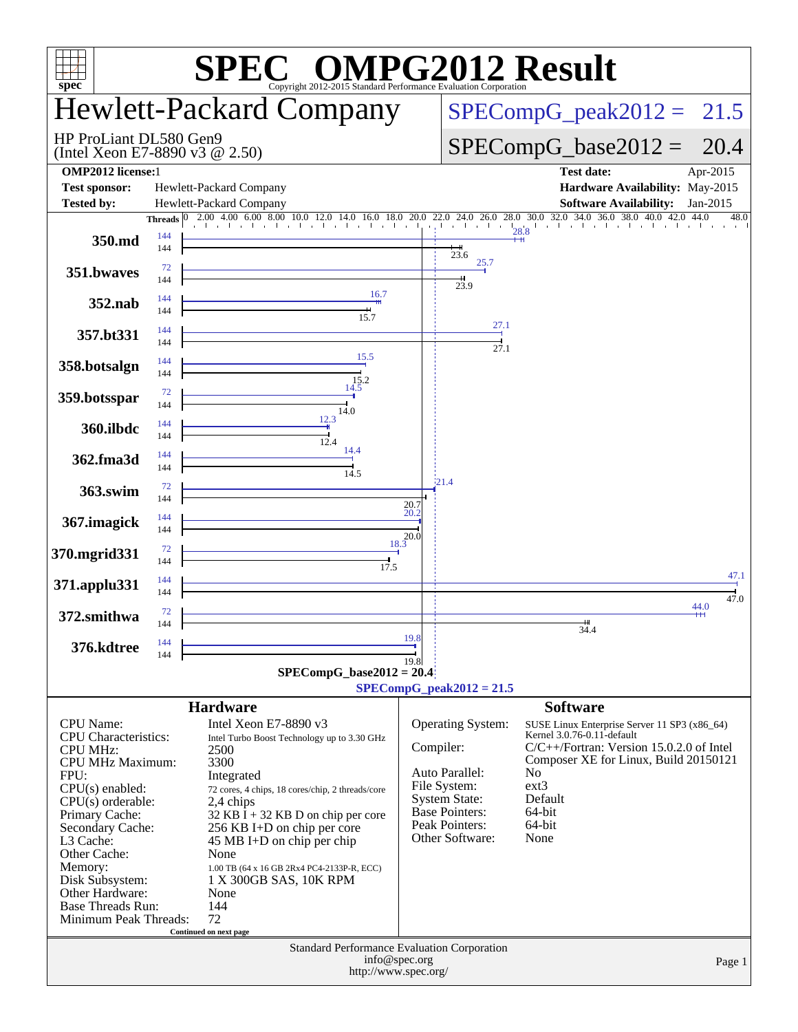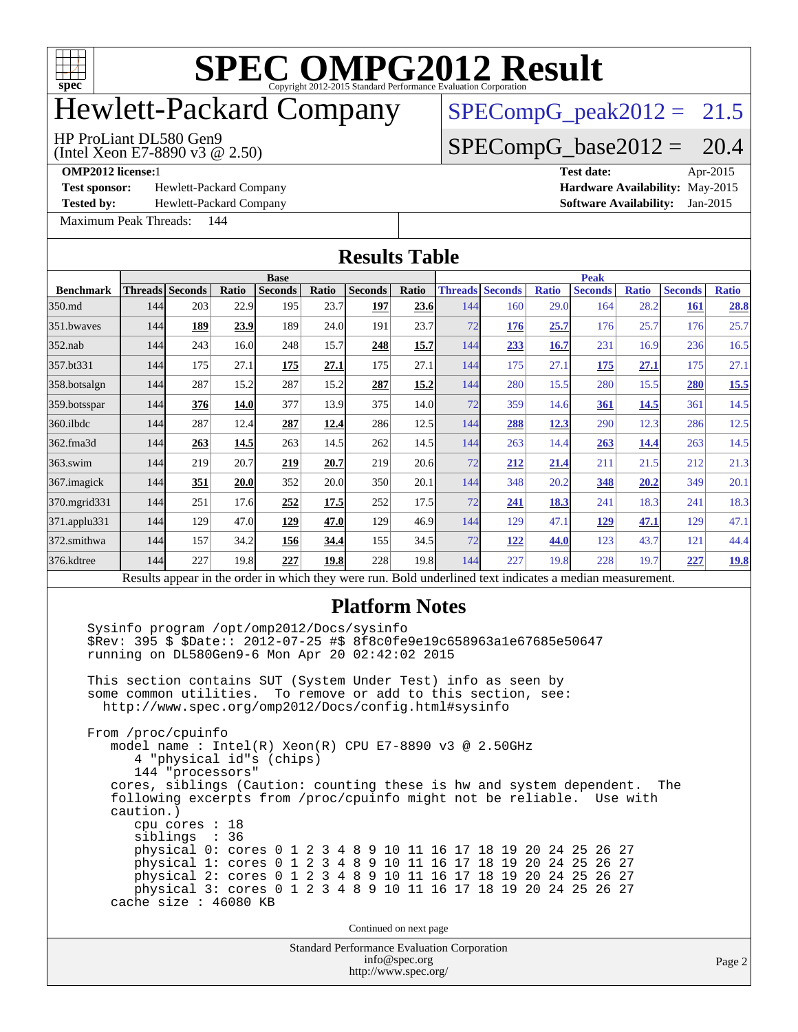

## Hewlett-Packard Company

### $SPECompG_peak2012 = 21.5$  $SPECompG_peak2012 = 21.5$

### HP ProLiant DL580 Gen9

(Intel Xeon E7-8890 v3 @ 2.50)

 $SPECompG_base2012 = 20.4$  $SPECompG_base2012 = 20.4$ 

**[Test sponsor:](http://www.spec.org/auto/omp2012/Docs/result-fields.html#Testsponsor)** Hewlett-Packard Company **[Hardware Availability:](http://www.spec.org/auto/omp2012/Docs/result-fields.html#HardwareAvailability)** May-2015

**[Tested by:](http://www.spec.org/auto/omp2012/Docs/result-fields.html#Testedby)** Hewlett-Packard Company **[Software Availability:](http://www.spec.org/auto/omp2012/Docs/result-fields.html#SoftwareAvailability)** Jan-2015

[Maximum Peak Threads:](http://www.spec.org/auto/omp2012/Docs/result-fields.html#MaximumPeakThreads) 144

**[OMP2012 license:](http://www.spec.org/auto/omp2012/Docs/result-fields.html#OMP2012license)**1 **[Test date:](http://www.spec.org/auto/omp2012/Docs/result-fields.html#Testdate)** Apr-2015

| <b>Results Table</b> |             |                                                                                                                                |       |                |              |                                                                                                                                                                                                                                                                                                                                                                                                                                                                                          |       |     |                        |              |                |              |                |              |  |
|----------------------|-------------|--------------------------------------------------------------------------------------------------------------------------------|-------|----------------|--------------|------------------------------------------------------------------------------------------------------------------------------------------------------------------------------------------------------------------------------------------------------------------------------------------------------------------------------------------------------------------------------------------------------------------------------------------------------------------------------------------|-------|-----|------------------------|--------------|----------------|--------------|----------------|--------------|--|
|                      | <b>Base</b> |                                                                                                                                |       |                |              |                                                                                                                                                                                                                                                                                                                                                                                                                                                                                          |       |     | <b>Peak</b>            |              |                |              |                |              |  |
| <b>Benchmark</b>     |             | <b>Threads</b> Seconds                                                                                                         | Ratio | <b>Seconds</b> | <b>Ratio</b> | <b>Seconds</b>                                                                                                                                                                                                                                                                                                                                                                                                                                                                           | Ratio |     | <b>Threads Seconds</b> | <b>Ratio</b> | <b>Seconds</b> | <b>Ratio</b> | <b>Seconds</b> | <b>Ratio</b> |  |
| 350.md               | 144         | 203                                                                                                                            | 22.9  | 195            | 23.7         | <u>197</u>                                                                                                                                                                                                                                                                                                                                                                                                                                                                               | 23.6  | 144 | 160                    | 29.0         | 164            | 28.2         | 161            | 28.8         |  |
| 351.bwayes           | 144         | 189                                                                                                                            | 23.9  | 189            | 24.0         | 191                                                                                                                                                                                                                                                                                                                                                                                                                                                                                      | 23.7  | 72  | 176                    | 25.7         | 176            | 25.7         | 176            | 25.7         |  |
| $352$ .nab           | 144         | 243                                                                                                                            | 16.0  | 248            | 15.7         | 248                                                                                                                                                                                                                                                                                                                                                                                                                                                                                      | 15.7  | 144 | 233                    | 16.7         | 231            | 16.9         | 236            | 16.5         |  |
| 357.bt331            | 144         | 175                                                                                                                            | 27.1  | 175            | 27.1         | 175                                                                                                                                                                                                                                                                                                                                                                                                                                                                                      | 27.1  | 144 | 175                    | 27.1         | 175            | 27.1         | 175            | 27.1         |  |
| 358.botsalgn         | 144         | 287                                                                                                                            | 15.2  | 287            | 15.2         | 287                                                                                                                                                                                                                                                                                                                                                                                                                                                                                      | 15.2  | 144 | 280                    | 15.5         | 280            | 15.5         | 280            | 15.5         |  |
| 359.botsspar         | 144         | 376                                                                                                                            | 14.0  | 377            | 13.9         | 375                                                                                                                                                                                                                                                                                                                                                                                                                                                                                      | 14.0  | 72  | 359                    | 14.6         | 361            | 14.5         | 361            | 14.5         |  |
| 360.ilbdc            | 144         | 287                                                                                                                            | 12.4  | 287            | 12.4         | 286                                                                                                                                                                                                                                                                                                                                                                                                                                                                                      | 12.5  | 144 | 288                    | 12.3         | 290            | 12.3         | 286            | 12.5         |  |
| 362.fma3d            | 144         | 263                                                                                                                            | 14.5  | 263            | 14.5         | 262                                                                                                                                                                                                                                                                                                                                                                                                                                                                                      | 14.5  | 144 | 263                    | 14.4         | 263            | <u>14.4</u>  | 263            | 14.5         |  |
| 363.swim             | 144         | 219                                                                                                                            | 20.7  | 219            | 20.7         | 219                                                                                                                                                                                                                                                                                                                                                                                                                                                                                      | 20.6  | 72  | 212                    | 21.4         | 211            | 21.5         | 212            | 21.3         |  |
| 367. imagick         | 144         | 351                                                                                                                            | 20.0  | 352            | 20.0         | 350                                                                                                                                                                                                                                                                                                                                                                                                                                                                                      | 20.1  | 144 | 348                    | 20.2         | 348            | 20.2         | 349            | 20.1         |  |
| 370. mgrid 331       | 144         | 251                                                                                                                            | 17.6  | 252            | 17.5         | 252                                                                                                                                                                                                                                                                                                                                                                                                                                                                                      | 17.5  | 72  | 241                    | <b>18.3</b>  | 241            | 18.3         | 241            | 18.3         |  |
| 371.applu331         | 144         | 129                                                                                                                            | 47.0  | 129            | 47.0         | 129                                                                                                                                                                                                                                                                                                                                                                                                                                                                                      | 46.9  | 144 | 129                    | 47.1         | <u>129</u>     | 47.1         | 129            | 47.1         |  |
| 372.smithwa          | 144         | 157                                                                                                                            | 34.2  | 156            | 34.4         | 155                                                                                                                                                                                                                                                                                                                                                                                                                                                                                      | 34.5  | 72  | 122                    | 44.0         | 123            | 43.7         | 121            | 44.4         |  |
| 376.kdtree           | 144         | 227                                                                                                                            | 19.8  | 227            | 19.8         | 228                                                                                                                                                                                                                                                                                                                                                                                                                                                                                      | 19.8  | 144 | 227                    | 19.8         | 228            | 19.7         | 227            | <u>19.8</u>  |  |
|                      |             |                                                                                                                                |       |                |              | Results appear in the order in which they were run. Bold underlined text indicates a median measurement.                                                                                                                                                                                                                                                                                                                                                                                 |       |     |                        |              |                |              |                |              |  |
|                      |             | some common utilities.                                                                                                         |       |                |              | <b>Platform Notes</b><br>Sysinfo program /opt/omp2012/Docs/sysinfo<br>\$Rev: 395 \$ \$Date:: 2012-07-25 #\$ 8f8c0fe9e19c658963a1e67685e50647<br>running on DL580Gen9-6 Mon Apr 20 02:42:02 2015<br>This section contains SUT (System Under Test) info as seen by<br>To remove or add to this section, see:<br>http://www.spec.org/omp2012/Docs/config.html#sysinfo                                                                                                                       |       |     |                        |              |                |              |                |              |  |
|                      | caution.)   | From /proc/cpuinfo<br>4 "physical id"s (chips)<br>144 "processors"<br>cpu cores : 18<br>siblings : 36<br>cache size : 46080 KB |       |                |              | model name: $Intel(R)$ Xeon(R) CPU E7-8890 v3 @ 2.50GHz<br>cores, siblings (Caution: counting these is hw and system dependent.<br>following excerpts from /proc/cpuinfo might not be reliable. Use with<br>physical 0: cores 0 1 2 3 4 8 9 10 11 16 17 18 19 20 24 25 26 27<br>physical 1: cores 0 1 2 3 4 8 9 10 11 16 17 18 19 20 24 25 26 27<br>physical 2: cores 0 1 2 3 4 8 9 10 11 16 17 18 19 20 24 25 26 27<br>physical 3: cores 0 1 2 3 4 8 9 10 11 16 17 18 19 20 24 25 26 27 |       |     |                        |              |                |              | The            |              |  |
|                      |             |                                                                                                                                |       |                |              | Continued on next page                                                                                                                                                                                                                                                                                                                                                                                                                                                                   |       |     |                        |              |                |              |                |              |  |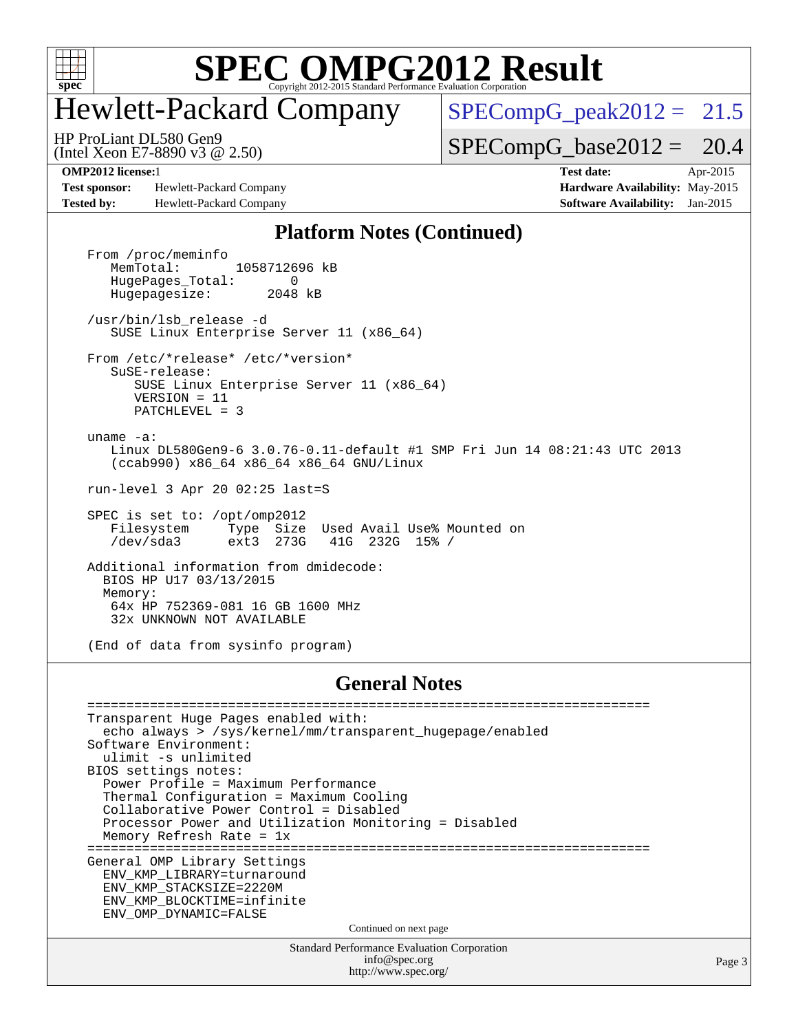

## Hewlett-Packard Company

 $SPECompG_peak2012 = 21.5$  $SPECompG_peak2012 = 21.5$ 

(Intel Xeon E7-8890 v3 @ 2.50) HP ProLiant DL580 Gen9

 $SPECompG_base2012 = 20.4$  $SPECompG_base2012 = 20.4$ 

**[Test sponsor:](http://www.spec.org/auto/omp2012/Docs/result-fields.html#Testsponsor)** Hewlett-Packard Company **[Hardware Availability:](http://www.spec.org/auto/omp2012/Docs/result-fields.html#HardwareAvailability)** May-2015 **[Tested by:](http://www.spec.org/auto/omp2012/Docs/result-fields.html#Testedby)** Hewlett-Packard Company **[Software Availability:](http://www.spec.org/auto/omp2012/Docs/result-fields.html#SoftwareAvailability)** Jan-2015

**[OMP2012 license:](http://www.spec.org/auto/omp2012/Docs/result-fields.html#OMP2012license)**1 **[Test date:](http://www.spec.org/auto/omp2012/Docs/result-fields.html#Testdate)** Apr-2015

Page 3

### **[Platform Notes \(Continued\)](http://www.spec.org/auto/omp2012/Docs/result-fields.html#PlatformNotes)**

From /proc/meminfo<br>MemTotal: 1058712696 kB HugePages\_Total: 0<br>Hugepagesize: 2048 kB Hugepagesize: /usr/bin/lsb\_release -d SUSE Linux Enterprise Server 11 (x86\_64) From /etc/\*release\* /etc/\*version\* SuSE-release: SUSE Linux Enterprise Server 11 (x86\_64) VERSION = 11 PATCHLEVEL = 3 uname -a: Linux DL580Gen9-6 3.0.76-0.11-default #1 SMP Fri Jun 14 08:21:43 UTC 2013 (ccab990) x86\_64 x86\_64 x86\_64 GNU/Linux run-level 3 Apr 20 02:25 last=S SPEC is set to: /opt/omp2012<br>Filesystem Type Size<br>/dev/sda3 ext3 273G Filesystem Type Size Used Avail Use% Mounted on /dev/sda3 ext3 273G 41G 232G 15% / Additional information from dmidecode: BIOS HP U17 03/13/2015 Memory: 64x HP 752369-081 16 GB 1600 MHz 32x UNKNOWN NOT AVAILABLE

(End of data from sysinfo program)

### **[General Notes](http://www.spec.org/auto/omp2012/Docs/result-fields.html#GeneralNotes)**

| Transparent Huge Pages enabled with:                      |
|-----------------------------------------------------------|
| echo always > /sys/kernel/mm/transparent hugepage/enabled |
| Software Environment:                                     |
| ulimit -s unlimited                                       |
| BIOS settings notes:                                      |
| Power Profile = Maximum Performance                       |
| Thermal Configuration = Maximum Cooling                   |
| Collaborative Power Control = Disabled                    |
| Processor Power and Utilization Monitoring = Disabled     |
| Memory Refresh Rate = $1x$                                |
|                                                           |
| General OMP Library Settings                              |
| ENV KMP LIBRARY=turnaround                                |
| ENV KMP STACKSIZE=2220M                                   |
| ENV KMP BLOCKTIME=infinite                                |
| ENV OMP DYNAMIC=FALSE                                     |
| Continued on next page                                    |
| <b>Standard Performance Evaluation Corporation</b>        |
| info@spec.org                                             |
| http://www.spec.org/                                      |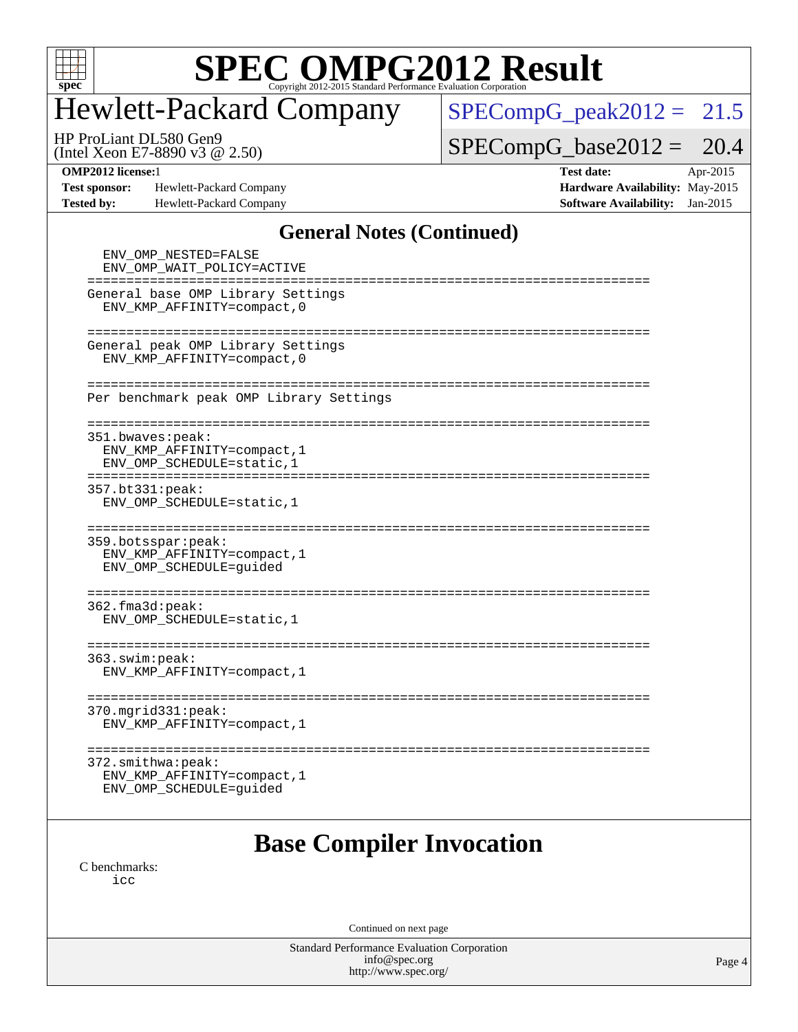

## Hewlett-Packard Company

 $SPECompG_peak2012 = 21.5$  $SPECompG_peak2012 = 21.5$ 

(Intel Xeon E7-8890 v3 @ 2.50) HP ProLiant DL580 Gen9

 $SPECompG_base2012 = 20.4$  $SPECompG_base2012 = 20.4$ 

**[Test sponsor:](http://www.spec.org/auto/omp2012/Docs/result-fields.html#Testsponsor)** Hewlett-Packard Company **[Hardware Availability:](http://www.spec.org/auto/omp2012/Docs/result-fields.html#HardwareAvailability)** May-2015 **[Tested by:](http://www.spec.org/auto/omp2012/Docs/result-fields.html#Testedby)** Hewlett-Packard Company **[Software Availability:](http://www.spec.org/auto/omp2012/Docs/result-fields.html#SoftwareAvailability)** Jan-2015

**[OMP2012 license:](http://www.spec.org/auto/omp2012/Docs/result-fields.html#OMP2012license)**1 **[Test date:](http://www.spec.org/auto/omp2012/Docs/result-fields.html#Testdate)** Apr-2015

### **[General Notes \(Continued\)](http://www.spec.org/auto/omp2012/Docs/result-fields.html#GeneralNotes)**

| ENV_OMP_NESTED=FALSE<br>ENV OMP WAIT POLICY=ACTIVE<br>=====================================<br>===========================                                   |
|--------------------------------------------------------------------------------------------------------------------------------------------------------------|
| General base OMP Library Settings<br>ENV KMP AFFINITY=compact, 0                                                                                             |
| =================<br>=============================<br>General peak OMP Library Settings<br>ENV_KMP_AFFINITY=compact, 0                                       |
| Per benchmark peak OMP Library Settings                                                                                                                      |
| 351.bwaves:peak:<br>ENV KMP AFFINITY=compact, 1<br>ENV OMP SCHEDULE=static, 1                                                                                |
| 357.bt331:peak:<br>ENV_OMP_SCHEDULE=static, 1                                                                                                                |
| ===================================<br>====================================<br>359.botsspar: peak:<br>ENV KMP AFFINITY=compact, 1<br>ENV_OMP_SCHEDULE=guided |
| 362.fma3d:peak:<br>ENV_OMP_SCHEDULE=static, 1                                                                                                                |
| =================<br>363.swin:peak:<br>ENV KMP AFFINITY=compact, 1                                                                                           |
| ===================<br>370.mgrid331:peak:<br>ENV_KMP_AFFINITY=compact, 1                                                                                     |
| 372.smithwa:peak:<br>ENV KMP AFFINITY=compact, 1<br>ENV_OMP_SCHEDULE=guided                                                                                  |

### **[Base Compiler Invocation](http://www.spec.org/auto/omp2012/Docs/result-fields.html#BaseCompilerInvocation)**

[C benchmarks](http://www.spec.org/auto/omp2012/Docs/result-fields.html#Cbenchmarks): [icc](http://www.spec.org/omp2012/results/res2015q2/omp2012-20150427-00064.flags.html#user_CCbase_intel_icc_a87c68a857bc5ec5362391a49d3a37a6)

Continued on next page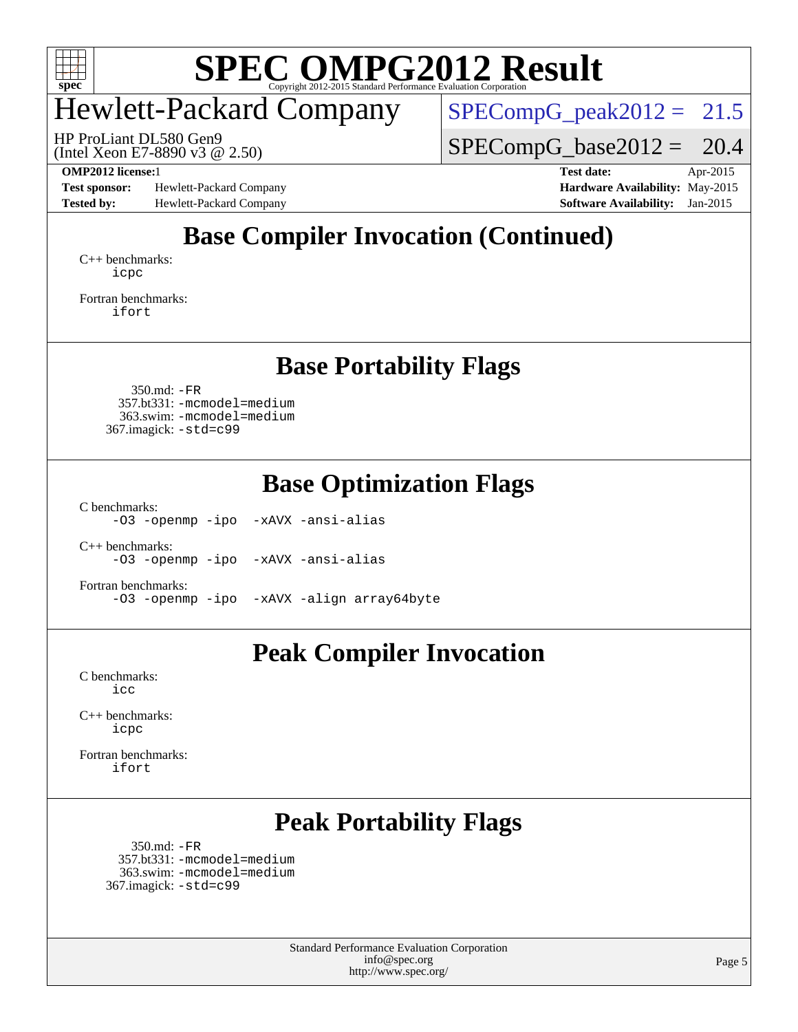

## Hewlett-Packard Company

 $SPECompG_peak2012 = 21.5$  $SPECompG_peak2012 = 21.5$ 

(Intel Xeon E7-8890 v3 @ 2.50) HP ProLiant DL580 Gen9

 $SPECompG_base2012 = 20.4$  $SPECompG_base2012 = 20.4$ 

**[Test sponsor:](http://www.spec.org/auto/omp2012/Docs/result-fields.html#Testsponsor)** Hewlett-Packard Company **[Hardware Availability:](http://www.spec.org/auto/omp2012/Docs/result-fields.html#HardwareAvailability)** May-2015 **[Tested by:](http://www.spec.org/auto/omp2012/Docs/result-fields.html#Testedby)** Hewlett-Packard Company **[Software Availability:](http://www.spec.org/auto/omp2012/Docs/result-fields.html#SoftwareAvailability)** Jan-2015

**[OMP2012 license:](http://www.spec.org/auto/omp2012/Docs/result-fields.html#OMP2012license)**1 **[Test date:](http://www.spec.org/auto/omp2012/Docs/result-fields.html#Testdate)** Apr-2015

### **[Base Compiler Invocation \(Continued\)](http://www.spec.org/auto/omp2012/Docs/result-fields.html#BaseCompilerInvocation)**

[C++ benchmarks:](http://www.spec.org/auto/omp2012/Docs/result-fields.html#CXXbenchmarks) [icpc](http://www.spec.org/omp2012/results/res2015q2/omp2012-20150427-00064.flags.html#user_CXXbase_intel_icpc_2d899f8d163502b12eb4a60069f80c1c)

[Fortran benchmarks](http://www.spec.org/auto/omp2012/Docs/result-fields.html#Fortranbenchmarks): [ifort](http://www.spec.org/omp2012/results/res2015q2/omp2012-20150427-00064.flags.html#user_FCbase_intel_ifort_8a5e5e06b19a251bdeaf8fdab5d62f20)

### **[Base Portability Flags](http://www.spec.org/auto/omp2012/Docs/result-fields.html#BasePortabilityFlags)**

 350.md: [-FR](http://www.spec.org/omp2012/results/res2015q2/omp2012-20150427-00064.flags.html#user_baseFPORTABILITY350_md_f-FR) 357.bt331: [-mcmodel=medium](http://www.spec.org/omp2012/results/res2015q2/omp2012-20150427-00064.flags.html#user_basePORTABILITY357_bt331_f-mcmodel_3a41622424bdd074c4f0f2d2f224c7e5) 363.swim: [-mcmodel=medium](http://www.spec.org/omp2012/results/res2015q2/omp2012-20150427-00064.flags.html#user_basePORTABILITY363_swim_f-mcmodel_3a41622424bdd074c4f0f2d2f224c7e5) 367.imagick: [-std=c99](http://www.spec.org/omp2012/results/res2015q2/omp2012-20150427-00064.flags.html#user_baseCPORTABILITY367_imagick_f-std_2ec6533b6e06f1c4a6c9b78d9e9cde24)

**[Base Optimization Flags](http://www.spec.org/auto/omp2012/Docs/result-fields.html#BaseOptimizationFlags)**

[C benchmarks](http://www.spec.org/auto/omp2012/Docs/result-fields.html#Cbenchmarks):

[-O3](http://www.spec.org/omp2012/results/res2015q2/omp2012-20150427-00064.flags.html#user_CCbase_f-O3) [-openmp](http://www.spec.org/omp2012/results/res2015q2/omp2012-20150427-00064.flags.html#user_CCbase_f-openmp) [-ipo](http://www.spec.org/omp2012/results/res2015q2/omp2012-20150427-00064.flags.html#user_CCbase_f-ipo_84062ab53814f613187d02344b8f49a7) [-xAVX](http://www.spec.org/omp2012/results/res2015q2/omp2012-20150427-00064.flags.html#user_CCbase_f-xAVX) [-ansi-alias](http://www.spec.org/omp2012/results/res2015q2/omp2012-20150427-00064.flags.html#user_CCbase_f-ansi-alias)

[C++ benchmarks:](http://www.spec.org/auto/omp2012/Docs/result-fields.html#CXXbenchmarks) [-O3](http://www.spec.org/omp2012/results/res2015q2/omp2012-20150427-00064.flags.html#user_CXXbase_f-O3) [-openmp](http://www.spec.org/omp2012/results/res2015q2/omp2012-20150427-00064.flags.html#user_CXXbase_f-openmp) [-ipo](http://www.spec.org/omp2012/results/res2015q2/omp2012-20150427-00064.flags.html#user_CXXbase_f-ipo_84062ab53814f613187d02344b8f49a7) [-xAVX](http://www.spec.org/omp2012/results/res2015q2/omp2012-20150427-00064.flags.html#user_CXXbase_f-xAVX) [-ansi-alias](http://www.spec.org/omp2012/results/res2015q2/omp2012-20150427-00064.flags.html#user_CXXbase_f-ansi-alias)

[Fortran benchmarks](http://www.spec.org/auto/omp2012/Docs/result-fields.html#Fortranbenchmarks): [-O3](http://www.spec.org/omp2012/results/res2015q2/omp2012-20150427-00064.flags.html#user_FCbase_f-O3) [-openmp](http://www.spec.org/omp2012/results/res2015q2/omp2012-20150427-00064.flags.html#user_FCbase_f-openmp) [-ipo](http://www.spec.org/omp2012/results/res2015q2/omp2012-20150427-00064.flags.html#user_FCbase_f-ipo_84062ab53814f613187d02344b8f49a7) [-xAVX](http://www.spec.org/omp2012/results/res2015q2/omp2012-20150427-00064.flags.html#user_FCbase_f-xAVX) [-align array64byte](http://www.spec.org/omp2012/results/res2015q2/omp2012-20150427-00064.flags.html#user_FCbase_f-align_c9377f996e966d652baaf753401d4725)

### **[Peak Compiler Invocation](http://www.spec.org/auto/omp2012/Docs/result-fields.html#PeakCompilerInvocation)**

[C benchmarks](http://www.spec.org/auto/omp2012/Docs/result-fields.html#Cbenchmarks): [icc](http://www.spec.org/omp2012/results/res2015q2/omp2012-20150427-00064.flags.html#user_CCpeak_intel_icc_a87c68a857bc5ec5362391a49d3a37a6)

[C++ benchmarks:](http://www.spec.org/auto/omp2012/Docs/result-fields.html#CXXbenchmarks) [icpc](http://www.spec.org/omp2012/results/res2015q2/omp2012-20150427-00064.flags.html#user_CXXpeak_intel_icpc_2d899f8d163502b12eb4a60069f80c1c)

[Fortran benchmarks](http://www.spec.org/auto/omp2012/Docs/result-fields.html#Fortranbenchmarks): [ifort](http://www.spec.org/omp2012/results/res2015q2/omp2012-20150427-00064.flags.html#user_FCpeak_intel_ifort_8a5e5e06b19a251bdeaf8fdab5d62f20)

### **[Peak Portability Flags](http://www.spec.org/auto/omp2012/Docs/result-fields.html#PeakPortabilityFlags)**

 350.md: [-FR](http://www.spec.org/omp2012/results/res2015q2/omp2012-20150427-00064.flags.html#user_peakFPORTABILITY350_md_f-FR) 357.bt331: [-mcmodel=medium](http://www.spec.org/omp2012/results/res2015q2/omp2012-20150427-00064.flags.html#user_peakPORTABILITY357_bt331_f-mcmodel_3a41622424bdd074c4f0f2d2f224c7e5) 363.swim: [-mcmodel=medium](http://www.spec.org/omp2012/results/res2015q2/omp2012-20150427-00064.flags.html#user_peakPORTABILITY363_swim_f-mcmodel_3a41622424bdd074c4f0f2d2f224c7e5) 367.imagick: [-std=c99](http://www.spec.org/omp2012/results/res2015q2/omp2012-20150427-00064.flags.html#user_peakCPORTABILITY367_imagick_f-std_2ec6533b6e06f1c4a6c9b78d9e9cde24)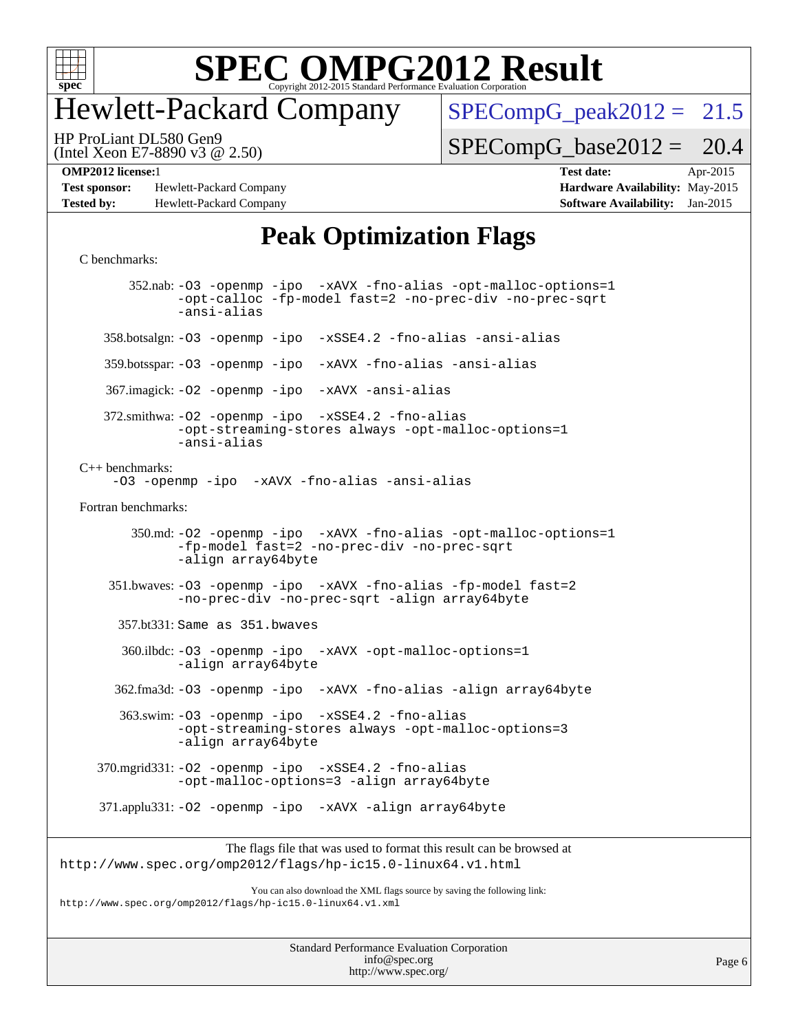

### Hewlett-Packard Company

 $SPECompG_peak2012 = 21.5$  $SPECompG_peak2012 = 21.5$ 

(Intel Xeon E7-8890 v3 @ 2.50) HP ProLiant DL580 Gen9

 $SPECompG_base2012 = 20.4$  $SPECompG_base2012 = 20.4$ 

**[Test sponsor:](http://www.spec.org/auto/omp2012/Docs/result-fields.html#Testsponsor)** Hewlett-Packard Company **[Hardware Availability:](http://www.spec.org/auto/omp2012/Docs/result-fields.html#HardwareAvailability)** May-2015 **[Tested by:](http://www.spec.org/auto/omp2012/Docs/result-fields.html#Testedby)** Hewlett-Packard Company **[Software Availability:](http://www.spec.org/auto/omp2012/Docs/result-fields.html#SoftwareAvailability)** Jan-2015

**[OMP2012 license:](http://www.spec.org/auto/omp2012/Docs/result-fields.html#OMP2012license)**1 **[Test date:](http://www.spec.org/auto/omp2012/Docs/result-fields.html#Testdate)** Apr-2015

### **[Peak Optimization Flags](http://www.spec.org/auto/omp2012/Docs/result-fields.html#PeakOptimizationFlags)**

```
C benchmarks:
```
 352.nab: [-O3](http://www.spec.org/omp2012/results/res2015q2/omp2012-20150427-00064.flags.html#user_peakOPTIMIZE352_nab_f-O3) [-openmp](http://www.spec.org/omp2012/results/res2015q2/omp2012-20150427-00064.flags.html#user_peakOPTIMIZE352_nab_f-openmp) [-ipo](http://www.spec.org/omp2012/results/res2015q2/omp2012-20150427-00064.flags.html#user_peakOPTIMIZE352_nab_f-ipo_84062ab53814f613187d02344b8f49a7) [-xAVX](http://www.spec.org/omp2012/results/res2015q2/omp2012-20150427-00064.flags.html#user_peakOPTIMIZE352_nab_f-xAVX) [-fno-alias](http://www.spec.org/omp2012/results/res2015q2/omp2012-20150427-00064.flags.html#user_peakOPTIMIZE352_nab_f-no-alias_694e77f6c5a51e658e82ccff53a9e63a) [-opt-malloc-options=1](http://www.spec.org/omp2012/results/res2015q2/omp2012-20150427-00064.flags.html#user_peakOPTIMIZE352_nab_f-opt-malloc-options_d882ffc6ff87e51efe45f9a5190004b0) [-opt-calloc](http://www.spec.org/omp2012/results/res2015q2/omp2012-20150427-00064.flags.html#user_peakOPTIMIZE352_nab_f-opt-calloc) [-fp-model fast=2](http://www.spec.org/omp2012/results/res2015q2/omp2012-20150427-00064.flags.html#user_peakOPTIMIZE352_nab_f-fp-model_a7fb8ccb7275e23f0079632c153cfcab) [-no-prec-div](http://www.spec.org/omp2012/results/res2015q2/omp2012-20150427-00064.flags.html#user_peakOPTIMIZE352_nab_f-no-prec-div) [-no-prec-sqrt](http://www.spec.org/omp2012/results/res2015q2/omp2012-20150427-00064.flags.html#user_peakOPTIMIZE352_nab_f-no-prec-sqrt) [-ansi-alias](http://www.spec.org/omp2012/results/res2015q2/omp2012-20150427-00064.flags.html#user_peakCOPTIMIZE352_nab_f-ansi-alias) 358.botsalgn: [-O3](http://www.spec.org/omp2012/results/res2015q2/omp2012-20150427-00064.flags.html#user_peakOPTIMIZE358_botsalgn_f-O3) [-openmp](http://www.spec.org/omp2012/results/res2015q2/omp2012-20150427-00064.flags.html#user_peakOPTIMIZE358_botsalgn_f-openmp) [-ipo](http://www.spec.org/omp2012/results/res2015q2/omp2012-20150427-00064.flags.html#user_peakOPTIMIZE358_botsalgn_f-ipo_84062ab53814f613187d02344b8f49a7) [-xSSE4.2](http://www.spec.org/omp2012/results/res2015q2/omp2012-20150427-00064.flags.html#user_peakOPTIMIZE358_botsalgn_f-xSSE42_f91528193cf0b216347adb8b939d4107) [-fno-alias](http://www.spec.org/omp2012/results/res2015q2/omp2012-20150427-00064.flags.html#user_peakOPTIMIZE358_botsalgn_f-no-alias_694e77f6c5a51e658e82ccff53a9e63a) [-ansi-alias](http://www.spec.org/omp2012/results/res2015q2/omp2012-20150427-00064.flags.html#user_peakCOPTIMIZE358_botsalgn_f-ansi-alias) 359.botsspar: [-O3](http://www.spec.org/omp2012/results/res2015q2/omp2012-20150427-00064.flags.html#user_peakOPTIMIZE359_botsspar_f-O3) [-openmp](http://www.spec.org/omp2012/results/res2015q2/omp2012-20150427-00064.flags.html#user_peakOPTIMIZE359_botsspar_f-openmp) [-ipo](http://www.spec.org/omp2012/results/res2015q2/omp2012-20150427-00064.flags.html#user_peakOPTIMIZE359_botsspar_f-ipo_84062ab53814f613187d02344b8f49a7) [-xAVX](http://www.spec.org/omp2012/results/res2015q2/omp2012-20150427-00064.flags.html#user_peakOPTIMIZE359_botsspar_f-xAVX) [-fno-alias](http://www.spec.org/omp2012/results/res2015q2/omp2012-20150427-00064.flags.html#user_peakOPTIMIZE359_botsspar_f-no-alias_694e77f6c5a51e658e82ccff53a9e63a) [-ansi-alias](http://www.spec.org/omp2012/results/res2015q2/omp2012-20150427-00064.flags.html#user_peakCOPTIMIZE359_botsspar_f-ansi-alias) 367.imagick: [-O2](http://www.spec.org/omp2012/results/res2015q2/omp2012-20150427-00064.flags.html#user_peakOPTIMIZE367_imagick_f-O2) [-openmp](http://www.spec.org/omp2012/results/res2015q2/omp2012-20150427-00064.flags.html#user_peakOPTIMIZE367_imagick_f-openmp) [-ipo](http://www.spec.org/omp2012/results/res2015q2/omp2012-20150427-00064.flags.html#user_peakOPTIMIZE367_imagick_f-ipo_84062ab53814f613187d02344b8f49a7) [-xAVX](http://www.spec.org/omp2012/results/res2015q2/omp2012-20150427-00064.flags.html#user_peakOPTIMIZE367_imagick_f-xAVX) [-ansi-alias](http://www.spec.org/omp2012/results/res2015q2/omp2012-20150427-00064.flags.html#user_peakCOPTIMIZE367_imagick_f-ansi-alias) 372.smithwa: [-O2](http://www.spec.org/omp2012/results/res2015q2/omp2012-20150427-00064.flags.html#user_peakOPTIMIZE372_smithwa_f-O2) [-openmp](http://www.spec.org/omp2012/results/res2015q2/omp2012-20150427-00064.flags.html#user_peakOPTIMIZE372_smithwa_f-openmp) [-ipo](http://www.spec.org/omp2012/results/res2015q2/omp2012-20150427-00064.flags.html#user_peakOPTIMIZE372_smithwa_f-ipo_84062ab53814f613187d02344b8f49a7) [-xSSE4.2](http://www.spec.org/omp2012/results/res2015q2/omp2012-20150427-00064.flags.html#user_peakOPTIMIZE372_smithwa_f-xSSE42_f91528193cf0b216347adb8b939d4107) [-fno-alias](http://www.spec.org/omp2012/results/res2015q2/omp2012-20150427-00064.flags.html#user_peakOPTIMIZE372_smithwa_f-no-alias_694e77f6c5a51e658e82ccff53a9e63a) [-opt-streaming-stores always](http://www.spec.org/omp2012/results/res2015q2/omp2012-20150427-00064.flags.html#user_peakOPTIMIZE372_smithwa_f-opt-streaming-stores-always_66f55dbc532842151ebc4c82f4f5b019) [-opt-malloc-options=1](http://www.spec.org/omp2012/results/res2015q2/omp2012-20150427-00064.flags.html#user_peakOPTIMIZE372_smithwa_f-opt-malloc-options_d882ffc6ff87e51efe45f9a5190004b0) [-ansi-alias](http://www.spec.org/omp2012/results/res2015q2/omp2012-20150427-00064.flags.html#user_peakCOPTIMIZE372_smithwa_f-ansi-alias) [C++ benchmarks:](http://www.spec.org/auto/omp2012/Docs/result-fields.html#CXXbenchmarks) [-O3](http://www.spec.org/omp2012/results/res2015q2/omp2012-20150427-00064.flags.html#user_CXXpeak_f-O3) [-openmp](http://www.spec.org/omp2012/results/res2015q2/omp2012-20150427-00064.flags.html#user_CXXpeak_f-openmp) [-ipo](http://www.spec.org/omp2012/results/res2015q2/omp2012-20150427-00064.flags.html#user_CXXpeak_f-ipo_84062ab53814f613187d02344b8f49a7) [-xAVX](http://www.spec.org/omp2012/results/res2015q2/omp2012-20150427-00064.flags.html#user_CXXpeak_f-xAVX) [-fno-alias](http://www.spec.org/omp2012/results/res2015q2/omp2012-20150427-00064.flags.html#user_CXXpeak_f-no-alias_694e77f6c5a51e658e82ccff53a9e63a) [-ansi-alias](http://www.spec.org/omp2012/results/res2015q2/omp2012-20150427-00064.flags.html#user_CXXpeak_f-ansi-alias) [Fortran benchmarks](http://www.spec.org/auto/omp2012/Docs/result-fields.html#Fortranbenchmarks): 350.md: [-O2](http://www.spec.org/omp2012/results/res2015q2/omp2012-20150427-00064.flags.html#user_peakOPTIMIZE350_md_f-O2) [-openmp](http://www.spec.org/omp2012/results/res2015q2/omp2012-20150427-00064.flags.html#user_peakOPTIMIZE350_md_f-openmp) [-ipo](http://www.spec.org/omp2012/results/res2015q2/omp2012-20150427-00064.flags.html#user_peakOPTIMIZE350_md_f-ipo_84062ab53814f613187d02344b8f49a7) [-xAVX](http://www.spec.org/omp2012/results/res2015q2/omp2012-20150427-00064.flags.html#user_peakOPTIMIZE350_md_f-xAVX) [-fno-alias](http://www.spec.org/omp2012/results/res2015q2/omp2012-20150427-00064.flags.html#user_peakOPTIMIZE350_md_f-no-alias_694e77f6c5a51e658e82ccff53a9e63a) [-opt-malloc-options=1](http://www.spec.org/omp2012/results/res2015q2/omp2012-20150427-00064.flags.html#user_peakOPTIMIZE350_md_f-opt-malloc-options_d882ffc6ff87e51efe45f9a5190004b0) [-fp-model fast=2](http://www.spec.org/omp2012/results/res2015q2/omp2012-20150427-00064.flags.html#user_peakFOPTIMIZE350_md_f-fp-model_a7fb8ccb7275e23f0079632c153cfcab) [-no-prec-div](http://www.spec.org/omp2012/results/res2015q2/omp2012-20150427-00064.flags.html#user_peakFOPTIMIZE350_md_f-no-prec-div) [-no-prec-sqrt](http://www.spec.org/omp2012/results/res2015q2/omp2012-20150427-00064.flags.html#user_peakFOPTIMIZE350_md_f-no-prec-sqrt) [-align array64byte](http://www.spec.org/omp2012/results/res2015q2/omp2012-20150427-00064.flags.html#user_peakFOPTIMIZE350_md_f-align_c9377f996e966d652baaf753401d4725) 351.bwaves: [-O3](http://www.spec.org/omp2012/results/res2015q2/omp2012-20150427-00064.flags.html#user_peakOPTIMIZE351_bwaves_f-O3) [-openmp](http://www.spec.org/omp2012/results/res2015q2/omp2012-20150427-00064.flags.html#user_peakOPTIMIZE351_bwaves_f-openmp) [-ipo](http://www.spec.org/omp2012/results/res2015q2/omp2012-20150427-00064.flags.html#user_peakOPTIMIZE351_bwaves_f-ipo_84062ab53814f613187d02344b8f49a7) [-xAVX](http://www.spec.org/omp2012/results/res2015q2/omp2012-20150427-00064.flags.html#user_peakOPTIMIZE351_bwaves_f-xAVX) [-fno-alias](http://www.spec.org/omp2012/results/res2015q2/omp2012-20150427-00064.flags.html#user_peakOPTIMIZE351_bwaves_f-no-alias_694e77f6c5a51e658e82ccff53a9e63a) [-fp-model fast=2](http://www.spec.org/omp2012/results/res2015q2/omp2012-20150427-00064.flags.html#user_peakFOPTIMIZE351_bwaves_f-fp-model_a7fb8ccb7275e23f0079632c153cfcab) [-no-prec-div](http://www.spec.org/omp2012/results/res2015q2/omp2012-20150427-00064.flags.html#user_peakFOPTIMIZE351_bwaves_f-no-prec-div) [-no-prec-sqrt](http://www.spec.org/omp2012/results/res2015q2/omp2012-20150427-00064.flags.html#user_peakFOPTIMIZE351_bwaves_f-no-prec-sqrt) [-align array64byte](http://www.spec.org/omp2012/results/res2015q2/omp2012-20150427-00064.flags.html#user_peakFOPTIMIZE351_bwaves_f-align_c9377f996e966d652baaf753401d4725) 357.bt331: Same as 351.bwaves 360.ilbdc: [-O3](http://www.spec.org/omp2012/results/res2015q2/omp2012-20150427-00064.flags.html#user_peakOPTIMIZE360_ilbdc_f-O3) [-openmp](http://www.spec.org/omp2012/results/res2015q2/omp2012-20150427-00064.flags.html#user_peakOPTIMIZE360_ilbdc_f-openmp) [-ipo](http://www.spec.org/omp2012/results/res2015q2/omp2012-20150427-00064.flags.html#user_peakOPTIMIZE360_ilbdc_f-ipo_84062ab53814f613187d02344b8f49a7) [-xAVX](http://www.spec.org/omp2012/results/res2015q2/omp2012-20150427-00064.flags.html#user_peakOPTIMIZE360_ilbdc_f-xAVX) [-opt-malloc-options=1](http://www.spec.org/omp2012/results/res2015q2/omp2012-20150427-00064.flags.html#user_peakOPTIMIZE360_ilbdc_f-opt-malloc-options_d882ffc6ff87e51efe45f9a5190004b0) [-align array64byte](http://www.spec.org/omp2012/results/res2015q2/omp2012-20150427-00064.flags.html#user_peakFOPTIMIZE360_ilbdc_f-align_c9377f996e966d652baaf753401d4725) 362.fma3d: [-O3](http://www.spec.org/omp2012/results/res2015q2/omp2012-20150427-00064.flags.html#user_peakOPTIMIZE362_fma3d_f-O3) [-openmp](http://www.spec.org/omp2012/results/res2015q2/omp2012-20150427-00064.flags.html#user_peakOPTIMIZE362_fma3d_f-openmp) [-ipo](http://www.spec.org/omp2012/results/res2015q2/omp2012-20150427-00064.flags.html#user_peakOPTIMIZE362_fma3d_f-ipo_84062ab53814f613187d02344b8f49a7) [-xAVX](http://www.spec.org/omp2012/results/res2015q2/omp2012-20150427-00064.flags.html#user_peakOPTIMIZE362_fma3d_f-xAVX) [-fno-alias](http://www.spec.org/omp2012/results/res2015q2/omp2012-20150427-00064.flags.html#user_peakOPTIMIZE362_fma3d_f-no-alias_694e77f6c5a51e658e82ccff53a9e63a) [-align array64byte](http://www.spec.org/omp2012/results/res2015q2/omp2012-20150427-00064.flags.html#user_peakFOPTIMIZE362_fma3d_f-align_c9377f996e966d652baaf753401d4725) 363.swim: [-O3](http://www.spec.org/omp2012/results/res2015q2/omp2012-20150427-00064.flags.html#user_peakOPTIMIZE363_swim_f-O3) [-openmp](http://www.spec.org/omp2012/results/res2015q2/omp2012-20150427-00064.flags.html#user_peakOPTIMIZE363_swim_f-openmp) [-ipo](http://www.spec.org/omp2012/results/res2015q2/omp2012-20150427-00064.flags.html#user_peakOPTIMIZE363_swim_f-ipo_84062ab53814f613187d02344b8f49a7) [-xSSE4.2](http://www.spec.org/omp2012/results/res2015q2/omp2012-20150427-00064.flags.html#user_peakOPTIMIZE363_swim_f-xSSE42_f91528193cf0b216347adb8b939d4107) [-fno-alias](http://www.spec.org/omp2012/results/res2015q2/omp2012-20150427-00064.flags.html#user_peakOPTIMIZE363_swim_f-no-alias_694e77f6c5a51e658e82ccff53a9e63a) [-opt-streaming-stores always](http://www.spec.org/omp2012/results/res2015q2/omp2012-20150427-00064.flags.html#user_peakOPTIMIZE363_swim_f-opt-streaming-stores-always_66f55dbc532842151ebc4c82f4f5b019) [-opt-malloc-options=3](http://www.spec.org/omp2012/results/res2015q2/omp2012-20150427-00064.flags.html#user_peakOPTIMIZE363_swim_f-opt-malloc-options_13ab9b803cf986b4ee62f0a5998c2238) [-align array64byte](http://www.spec.org/omp2012/results/res2015q2/omp2012-20150427-00064.flags.html#user_peakFOPTIMIZE363_swim_f-align_c9377f996e966d652baaf753401d4725) 370.mgrid331: [-O2](http://www.spec.org/omp2012/results/res2015q2/omp2012-20150427-00064.flags.html#user_peakOPTIMIZE370_mgrid331_f-O2) [-openmp](http://www.spec.org/omp2012/results/res2015q2/omp2012-20150427-00064.flags.html#user_peakOPTIMIZE370_mgrid331_f-openmp) [-ipo](http://www.spec.org/omp2012/results/res2015q2/omp2012-20150427-00064.flags.html#user_peakOPTIMIZE370_mgrid331_f-ipo_84062ab53814f613187d02344b8f49a7) [-xSSE4.2](http://www.spec.org/omp2012/results/res2015q2/omp2012-20150427-00064.flags.html#user_peakOPTIMIZE370_mgrid331_f-xSSE42_f91528193cf0b216347adb8b939d4107) [-fno-alias](http://www.spec.org/omp2012/results/res2015q2/omp2012-20150427-00064.flags.html#user_peakOPTIMIZE370_mgrid331_f-no-alias_694e77f6c5a51e658e82ccff53a9e63a) [-opt-malloc-options=3](http://www.spec.org/omp2012/results/res2015q2/omp2012-20150427-00064.flags.html#user_peakOPTIMIZE370_mgrid331_f-opt-malloc-options_13ab9b803cf986b4ee62f0a5998c2238) [-align array64byte](http://www.spec.org/omp2012/results/res2015q2/omp2012-20150427-00064.flags.html#user_peakFOPTIMIZE370_mgrid331_f-align_c9377f996e966d652baaf753401d4725) 371.applu331: [-O2](http://www.spec.org/omp2012/results/res2015q2/omp2012-20150427-00064.flags.html#user_peakOPTIMIZE371_applu331_f-O2) [-openmp](http://www.spec.org/omp2012/results/res2015q2/omp2012-20150427-00064.flags.html#user_peakOPTIMIZE371_applu331_f-openmp) [-ipo](http://www.spec.org/omp2012/results/res2015q2/omp2012-20150427-00064.flags.html#user_peakOPTIMIZE371_applu331_f-ipo_84062ab53814f613187d02344b8f49a7) [-xAVX](http://www.spec.org/omp2012/results/res2015q2/omp2012-20150427-00064.flags.html#user_peakOPTIMIZE371_applu331_f-xAVX) [-align array64byte](http://www.spec.org/omp2012/results/res2015q2/omp2012-20150427-00064.flags.html#user_peakFOPTIMIZE371_applu331_f-align_c9377f996e966d652baaf753401d4725)

The flags file that was used to format this result can be browsed at <http://www.spec.org/omp2012/flags/hp-ic15.0-linux64.v1.html>

You can also download the XML flags source by saving the following link: <http://www.spec.org/omp2012/flags/hp-ic15.0-linux64.v1.xml>